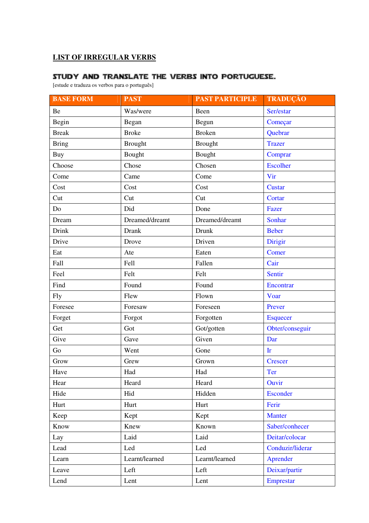## **LIST OF IRREGULAR VERBS**

## Study and translate the verbs into Portuguese.

[estude e traduza os verbos para o português]

| <b>BASE FORM</b> | <b>PAST</b>    | <b>PAST PARTICIPLE</b> | TRADUÇÃO         |
|------------------|----------------|------------------------|------------------|
| Be               | Was/were       | Been                   | Ser/estar        |
| Begin            | Began          | Begun                  | Começar          |
| <b>Break</b>     | <b>Broke</b>   | <b>Broken</b>          | Quebrar          |
| <b>Bring</b>     | <b>Brought</b> | <b>Brought</b>         | <b>Trazer</b>    |
| Buy              | Bought         | Bought                 | Comprar          |
| Choose           | Chose          | Chosen                 | <b>Escolher</b>  |
| Come             | Came           | Come                   | Vir              |
| Cost             | Cost           | Cost                   | Custar           |
| Cut              | Cut            | Cut                    | Cortar           |
| Do               | Did            | Done                   | Fazer            |
| Dream            | Dreamed/dreamt | Dreamed/dreamt         | Sonhar           |
| Drink            | <b>Drank</b>   | Drunk                  | <b>Beber</b>     |
| Drive            | Drove          | Driven                 | Dirigir          |
| Eat              | Ate            | Eaten                  | Comer            |
| Fall             | Fell           | Fallen                 | Cair             |
| Feel             | Felt           | Felt                   | Sentir           |
| Find             | Found          | Found                  | Encontrar        |
| <b>Fly</b>       | Flew           | Flown                  | Voar             |
| Foresee          | Foresaw        | Foreseen               | Prever           |
| Forget           | Forgot         | Forgotten              | <b>Esquecer</b>  |
| Get              | Got            | Got/gotten             | Obter/conseguir  |
| Give             | Gave           | Given                  | Dar              |
| Go               | Went           | Gone                   | $\mathbf{I}$ r   |
| Grow             | Grew           | Grown                  | <b>Crescer</b>   |
| Have             | Had            | Had                    | <b>Ter</b>       |
| Hear             | Heard          | Heard                  | Ouvir            |
| Hide             | Hid            | Hidden                 | Esconder         |
| Hurt             | Hurt           | Hurt                   | Ferir            |
| Keep             | Kept           | Kept                   | <b>Manter</b>    |
| Know             | Knew           | Known                  | Saber/conhecer   |
| Lay              | Laid           | Laid                   | Deitar/colocar   |
| Lead             | Led            | Led                    | Conduzir/liderar |
| Learn            | Learnt/learned | Learnt/learned         | Aprender         |
| Leave            | Left           | Left                   | Deixar/partir    |
| Lend             | Lent           | Lent                   | Emprestar        |